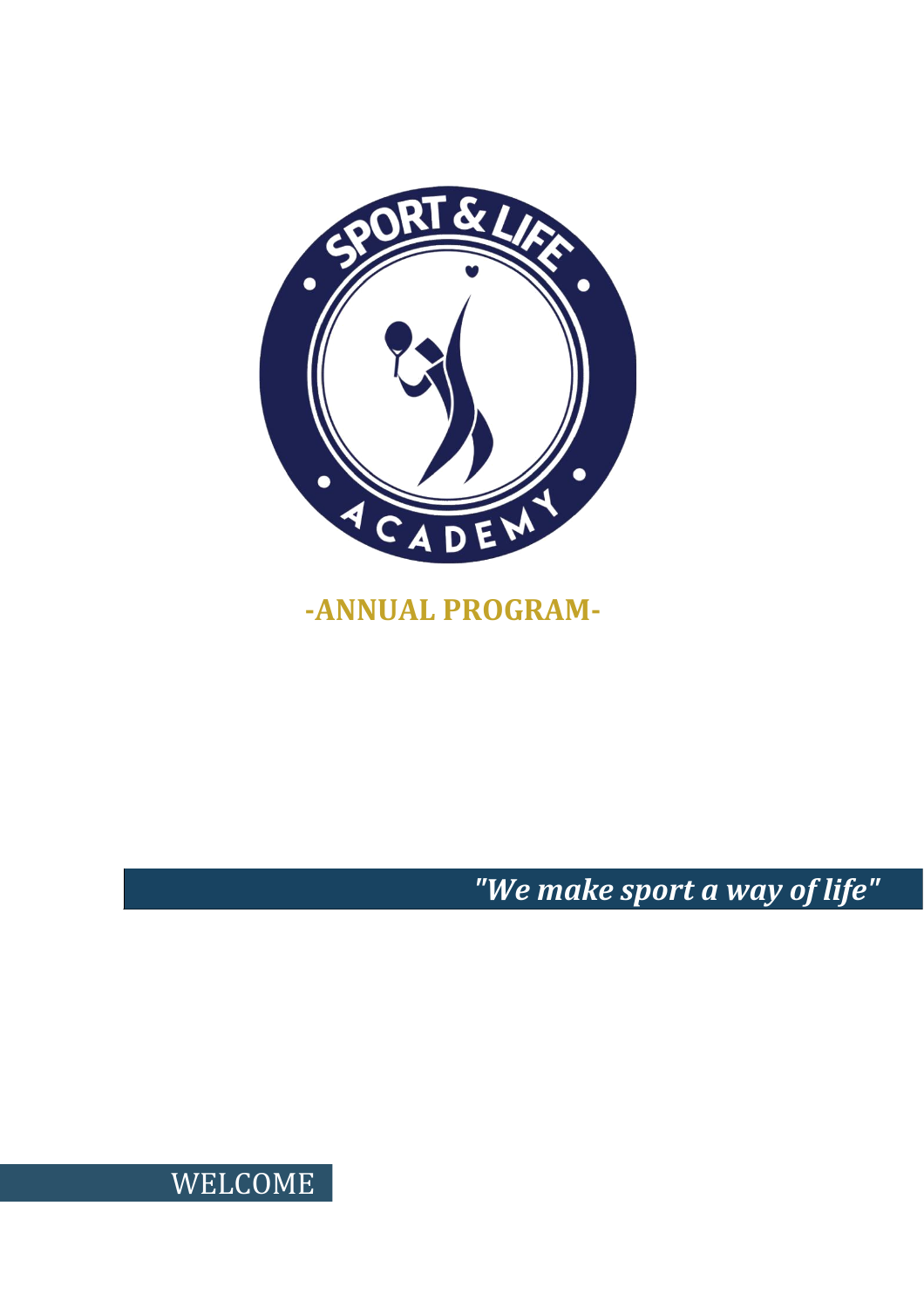

# **-ANNUAL PROGRAM-**

*"We make sport a way of life"*

WELCOME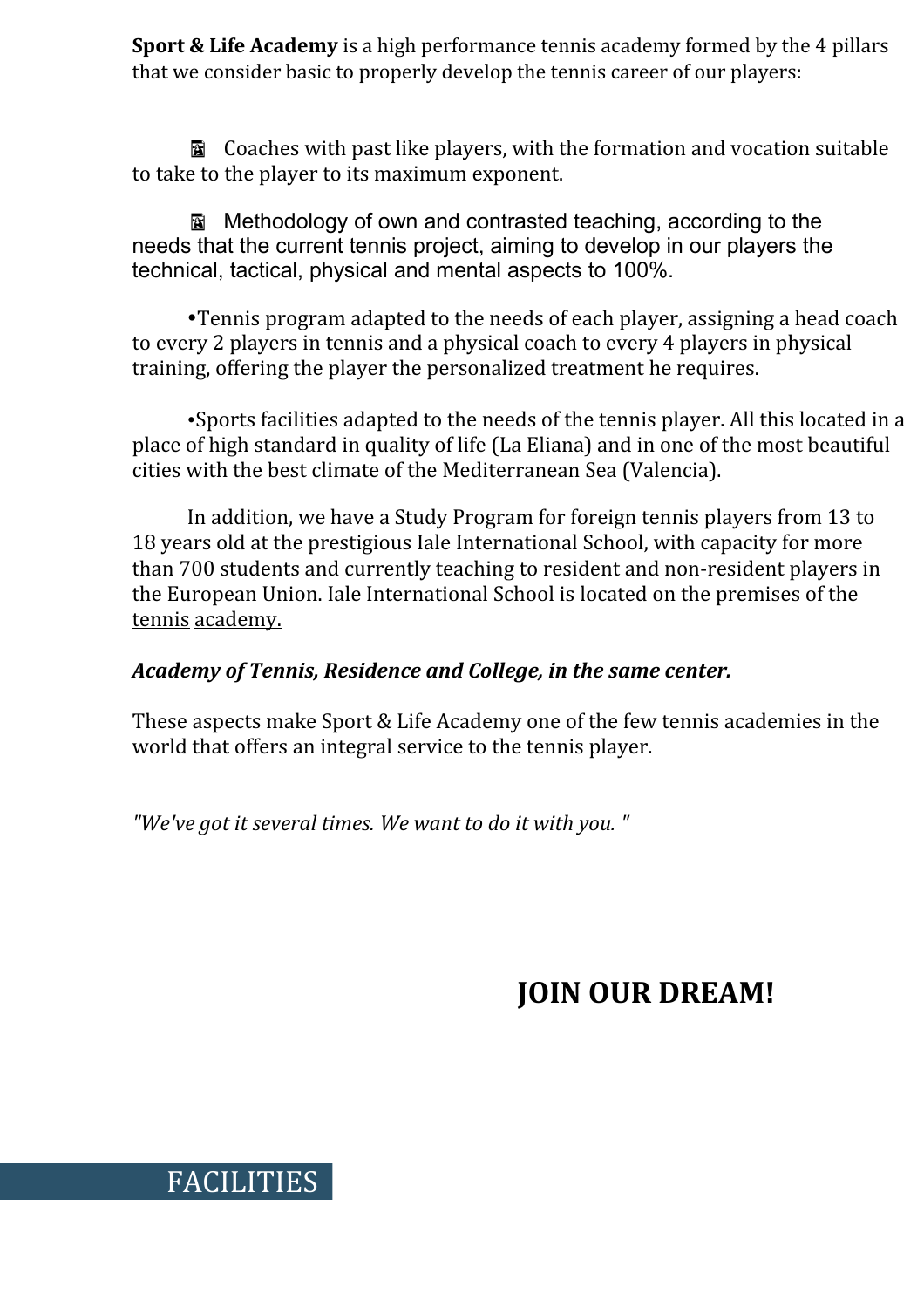**Sport & Life Academy** is a high performance tennis academy formed by the 4 pillars that we consider basic to properly develop the tennis career of our players:

 Coaches with past like players, with the formation and vocation suitable to take to the player to its maximum exponent.

Methodology of own and contrasted teaching, according to the needs that the current tennis project, aiming to develop in our players the technical, tactical, physical and mental aspects to 100%.

Tennis program adapted to the needs of each player, assigning a head coach to every 2 players in tennis and a physical coach to every 4 players in physical training, offering the player the personalized treatment he requires.

Sports facilities adapted to the needs of the tennis player. All this located in a place of high standard in quality of life (La Eliana) and in one of the most beautiful cities with the best climate of the Mediterranean Sea (Valencia).

In addition, we have a Study Program for foreign tennis players from 13 to 18 years old at the prestigious Iale International School, with capacity for more than 700 students and currently teaching to resident and non-resident players in the European Union. Iale International School is located on the premises of the tennis academy.

#### *Academy of Tennis, Residence and College, in the same center.*

These aspects make Sport & Life Academy one of the few tennis academies in the world that offers an integral service to the tennis player.

*"We've got it several times. We want to do it with you. "*

FACILITIES

# **JOIN OUR DREAM!**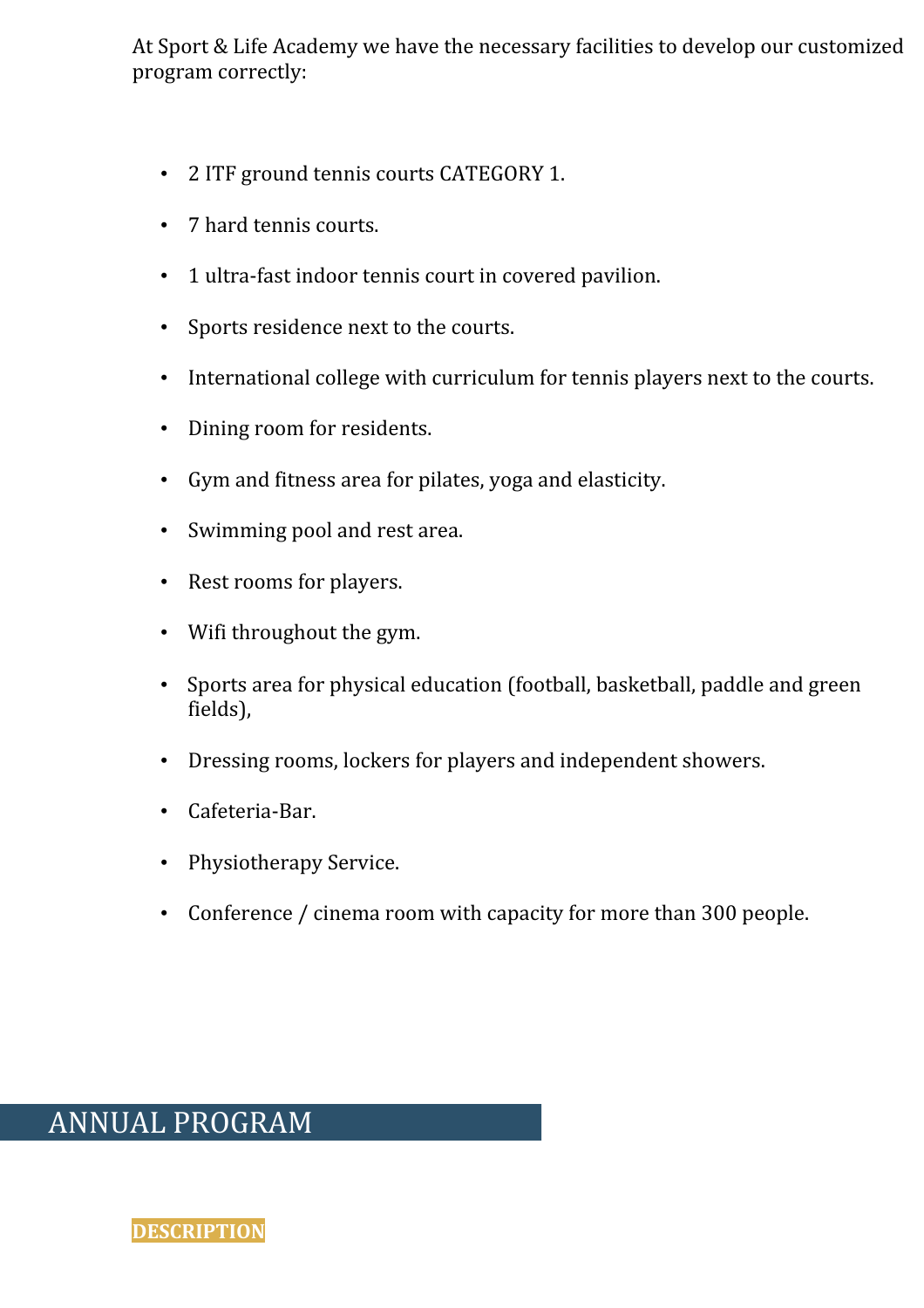At Sport & Life Academy we have the necessary facilities to develop our customized program correctly:

- 2 ITF ground tennis courts CATEGORY 1.
- 7 hard tennis courts.
- 1 ultra-fast indoor tennis court in covered pavilion.
- Sports residence next to the courts.
- International college with curriculum for tennis players next to the courts.
- Dining room for residents.
- Gym and fitness area for pilates, yoga and elasticity.
- Swimming pool and rest area.
- Rest rooms for players.
- Wifi throughout the gym.
- Sports area for physical education (football, basketball, paddle and green fields),
- Dressing rooms, lockers for players and independent showers.
- Cafeteria-Bar.
- Physiotherapy Service.
- Conference / cinema room with capacity for more than 300 people.

# ANNUAL PROGRAM

**DESCRIPTION**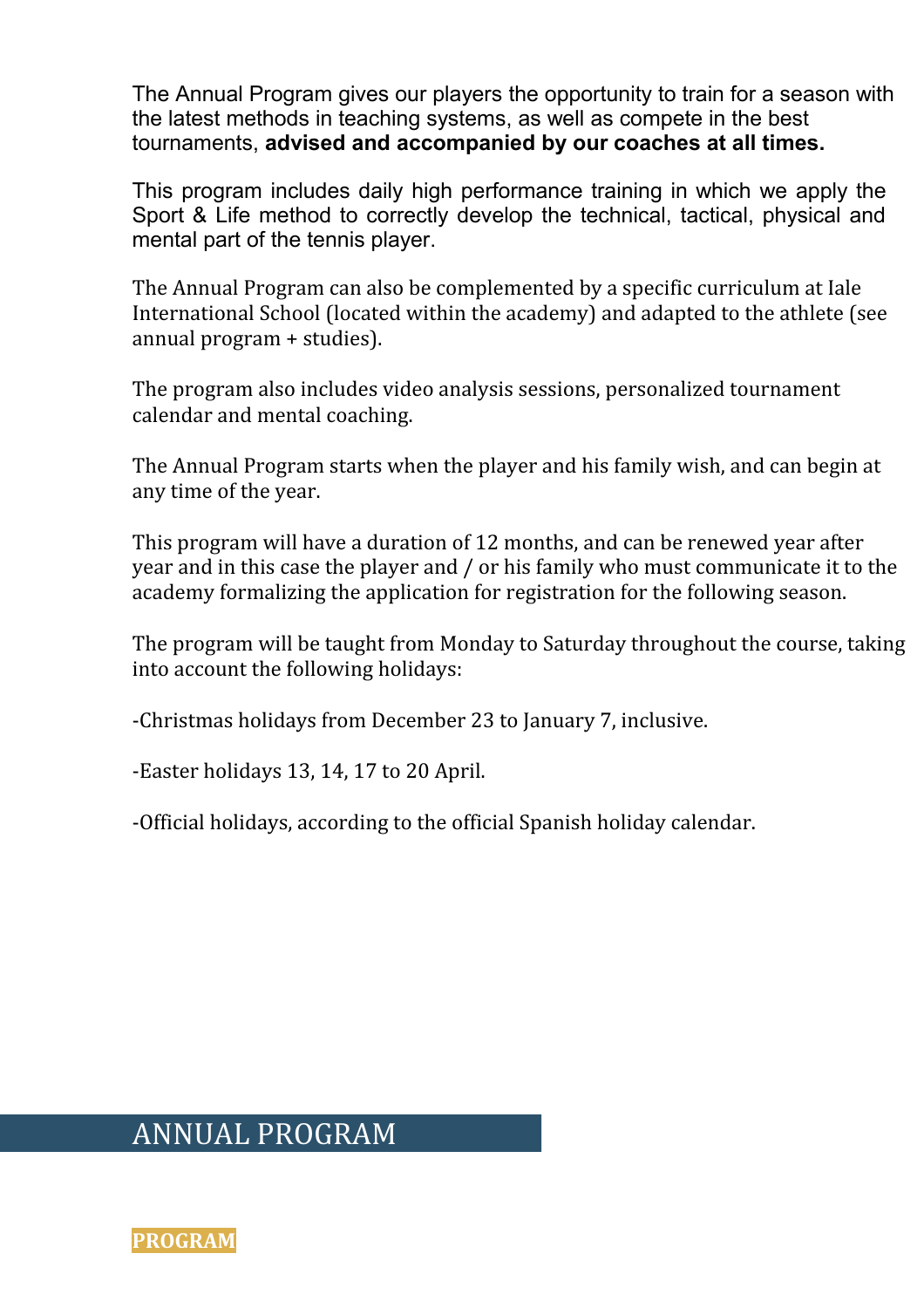The Annual Program gives our players the opportunity to train for a season with the latest methods in teaching systems, as well as compete in the best tournaments, **advised and accompanied by our coaches at all times.**

This program includes daily high performance training in which we apply the Sport & Life method to correctly develop the technical, tactical, physical and mental part of the tennis player.

The Annual Program can also be complemented by a specific curriculum at Iale International School (located within the academy) and adapted to the athlete (see annual program + studies).

The program also includes video analysis sessions, personalized tournament calendar and mental coaching.

The Annual Program starts when the player and his family wish, and can begin at any time of the year.

This program will have a duration of 12 months, and can be renewed year after year and in this case the player and / or his family who must communicate it to the academy formalizing the application for registration for the following season.

The program will be taught from Monday to Saturday throughout the course, taking into account the following holidays:

-Christmas holidays from December 23 to January 7, inclusive.

-Easter holidays 13, 14, 17 to 20 April.

-Official holidays, according to the official Spanish holiday calendar.

## ANNUAL PROGRAM

**PROGRAM**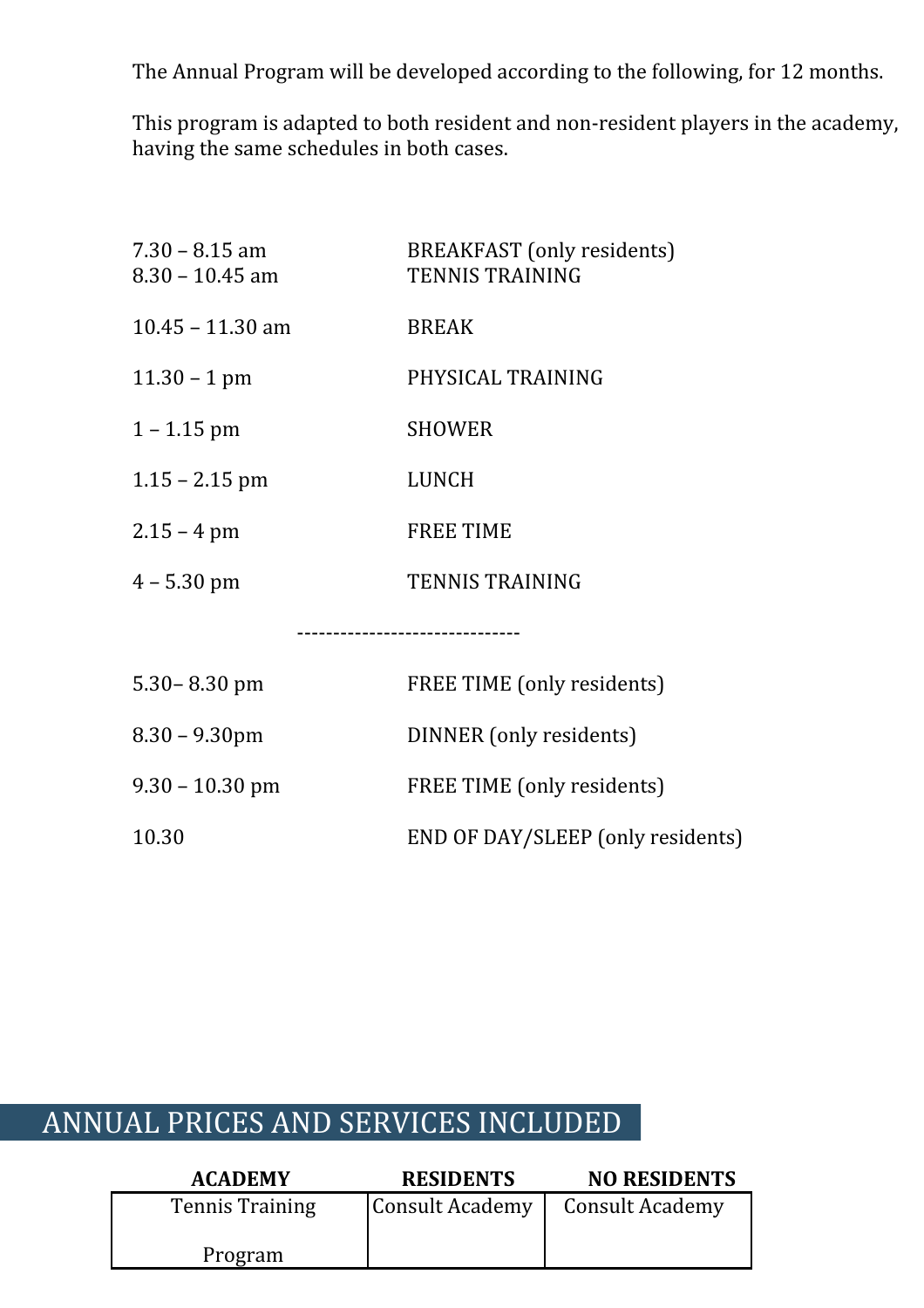The Annual Program will be developed according to the following, for 12 months.

This program is adapted to both resident and non-resident players in the academy, having the same schedules in both cases.

| $7.30 - 8.15$ am<br>$8.30 - 10.45$ am | <b>BREAKFAST</b> (only residents)<br><b>TENNIS TRAINING</b> |
|---------------------------------------|-------------------------------------------------------------|
| $10.45 - 11.30$ am                    | <b>BREAK</b>                                                |
| $11.30 - 1$ pm                        | PHYSICAL TRAINING                                           |
| $1 - 1.15$ pm                         | <b>SHOWER</b>                                               |
| $1.15 - 2.15$ pm                      | <b>LUNCH</b>                                                |
| $2.15 - 4 \text{ pm}$                 | <b>FREE TIME</b>                                            |
| $4 - 5.30$ pm                         | <b>TENNIS TRAINING</b>                                      |
|                                       |                                                             |
| $5.30 - 8.30$ pm                      | FREE TIME (only residents)                                  |
| $8.30 - 9.30$ pm                      | DINNER (only residents)                                     |
| $9.30 - 10.30$ pm                     | FREE TIME (only residents)                                  |
| 10.30                                 | END OF DAY/SLEEP (only residents)                           |

# ANNUAL PRICES AND SERVICES INCLUDED

| <b>ACADEMY</b>         | <b>RESIDENTS</b> | <b>NO RESIDENTS</b>    |
|------------------------|------------------|------------------------|
| <b>Tennis Training</b> | Consult Academy  | <b>Consult Academy</b> |
| Program                |                  |                        |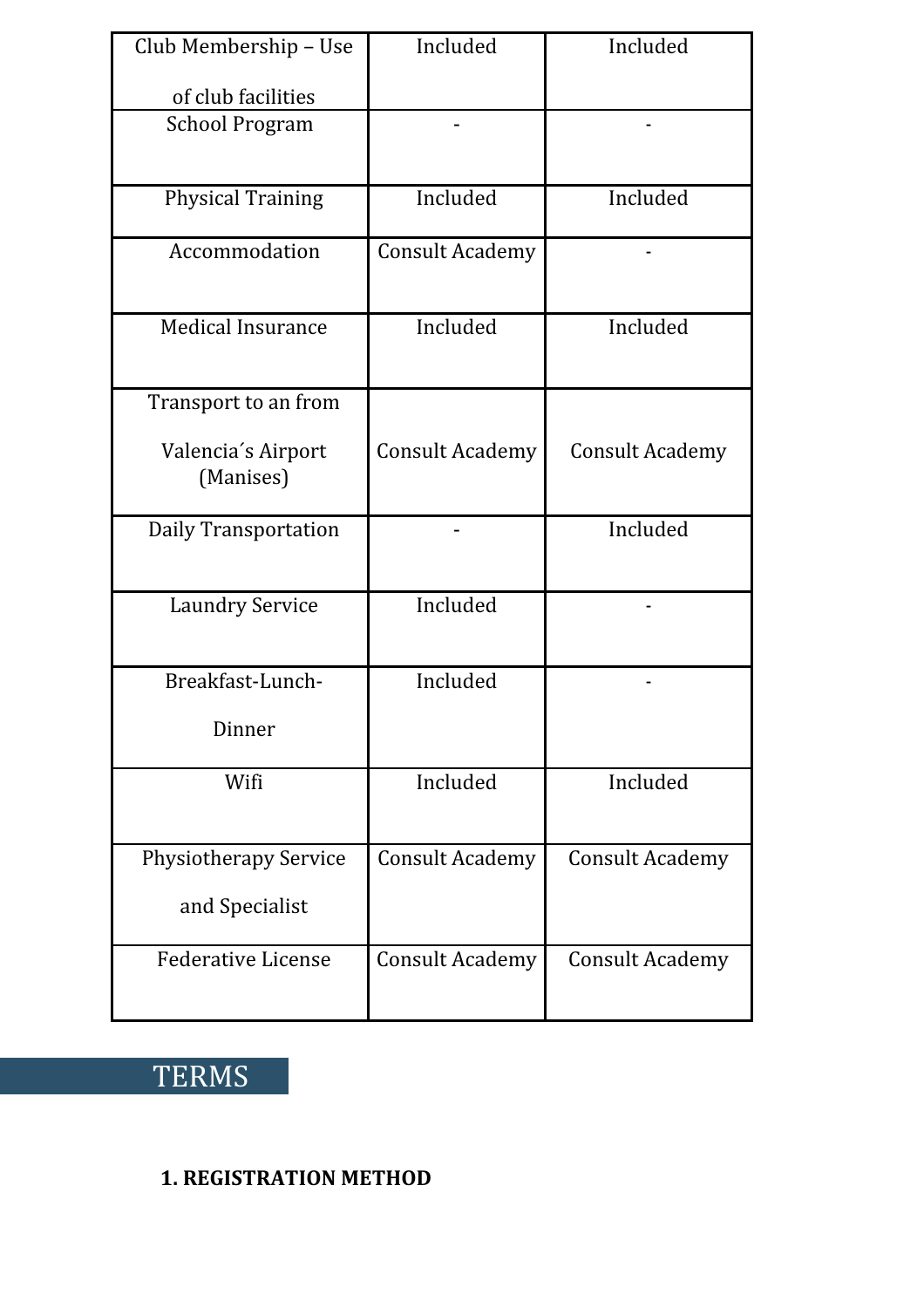| Club Membership - Use           | Included               | Included               |
|---------------------------------|------------------------|------------------------|
| of club facilities              |                        |                        |
| <b>School Program</b>           |                        |                        |
| <b>Physical Training</b>        | Included               | Included               |
| Accommodation                   | <b>Consult Academy</b> |                        |
| <b>Medical Insurance</b>        | Included               | Included               |
| Transport to an from            |                        |                        |
| Valencia's Airport<br>(Manises) | <b>Consult Academy</b> | <b>Consult Academy</b> |
| <b>Daily Transportation</b>     |                        | Included               |
| <b>Laundry Service</b>          | Included               |                        |
| Breakfast-Lunch-                | Included               |                        |
| Dinner                          |                        |                        |
| Wifi                            | Included               | Included               |
| <b>Physiotherapy Service</b>    | <b>Consult Academy</b> | <b>Consult Academy</b> |
| and Specialist                  |                        |                        |
| <b>Federative License</b>       | <b>Consult Academy</b> | <b>Consult Academy</b> |

# **TERMS**

### **1. REGISTRATION METHOD**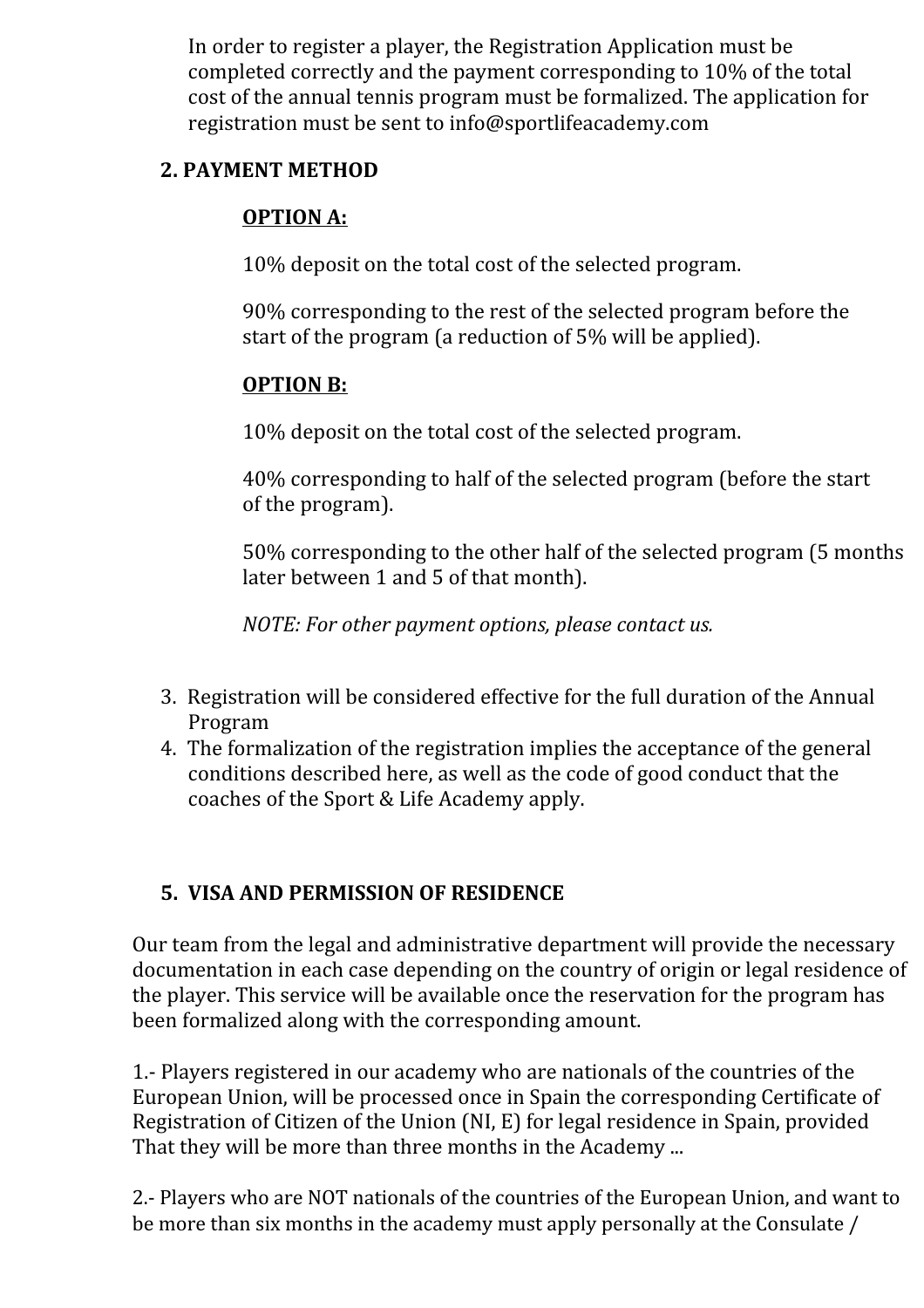In order to register a player, the Registration Application must be completed correctly and the payment corresponding to 10% of the total cost of the annual tennis program must be formalized. The application for registration must be sent to info@sportlifeacademy.com

### **2. PAYMENT METHOD**

### **OPTION A:**

10% deposit on the total cost of the selected program.

90% corresponding to the rest of the selected program before the start of the program (a reduction of 5% will be applied).

### **OPTION B:**

10% deposit on the total cost of the selected program.

40% corresponding to half of the selected program (before the start of the program).

50% corresponding to the other half of the selected program (5 months later between 1 and 5 of that month).

*NOTE: For other payment options, please contact us.*

- 3. Registration will be considered effective for the full duration of the Annual Program
- 4. The formalization of the registration implies the acceptance of the general conditions described here, as well as the code of good conduct that the coaches of the Sport & Life Academy apply.

### **5. VISA AND PERMISSION OF RESIDENCE**

Our team from the legal and administrative department will provide the necessary documentation in each case depending on the country of origin or legal residence of the player. This service will be available once the reservation for the program has been formalized along with the corresponding amount.

1.- Players registered in our academy who are nationals of the countries of the European Union, will be processed once in Spain the corresponding Certificate of Registration of Citizen of the Union (NI, E) for legal residence in Spain, provided That they will be more than three months in the Academy ...

2.- Players who are NOT nationals of the countries of the European Union, and want to be more than six months in the academy must apply personally at the Consulate /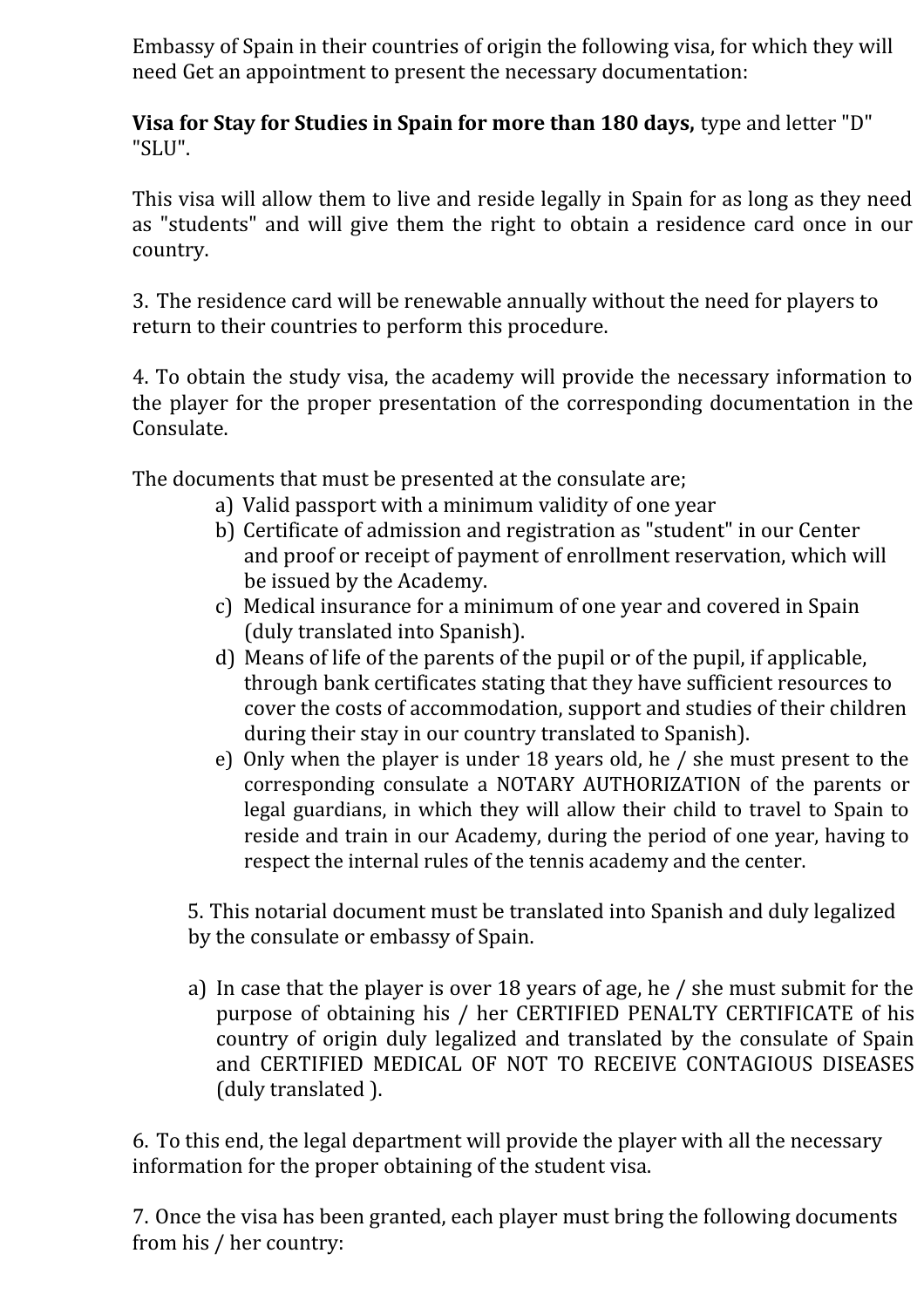Embassy of Spain in their countries of origin the following visa, for which they will need Get an appointment to present the necessary documentation:

**Visa for Stay for Studies in Spain for more than 180 days,** type and letter "D" "SLU".

This visa will allow them to live and reside legally in Spain for as long as they need as "students" and will give them the right to obtain a residence card once in our country.

3. The residence card will be renewable annually without the need for players to return to their countries to perform this procedure.

4. To obtain the study visa, the academy will provide the necessary information to the player for the proper presentation of the corresponding documentation in the Consulate.

The documents that must be presented at the consulate are;

- a) Valid passport with a minimum validity of one year
- b) Certificate of admission and registration as "student" in our Center and proof or receipt of payment of enrollment reservation, which will be issued by the Academy.
- c) Medical insurance for a minimum of one year and covered in Spain (duly translated into Spanish).
- d) Means of life of the parents of the pupil or of the pupil, if applicable, through bank certificates stating that they have sufficient resources to cover the costs of accommodation, support and studies of their children during their stay in our country translated to Spanish).
- e) Only when the player is under 18 years old, he / she must present to the corresponding consulate a NOTARY AUTHORIZATION of the parents or legal guardians, in which they will allow their child to travel to Spain to reside and train in our Academy, during the period of one year, having to respect the internal rules of the tennis academy and the center.

5. This notarial document must be translated into Spanish and duly legalized by the consulate or embassy of Spain.

a) In case that the player is over 18 years of age, he / she must submit for the purpose of obtaining his / her CERTIFIED PENALTY CERTIFICATE of his country of origin duly legalized and translated by the consulate of Spain and CERTIFIED MEDICAL OF NOT TO RECEIVE CONTAGIOUS DISEASES (duly translated ).

6. To this end, the legal department will provide the player with all the necessary information for the proper obtaining of the student visa.

7. Once the visa has been granted, each player must bring the following documents from his / her country: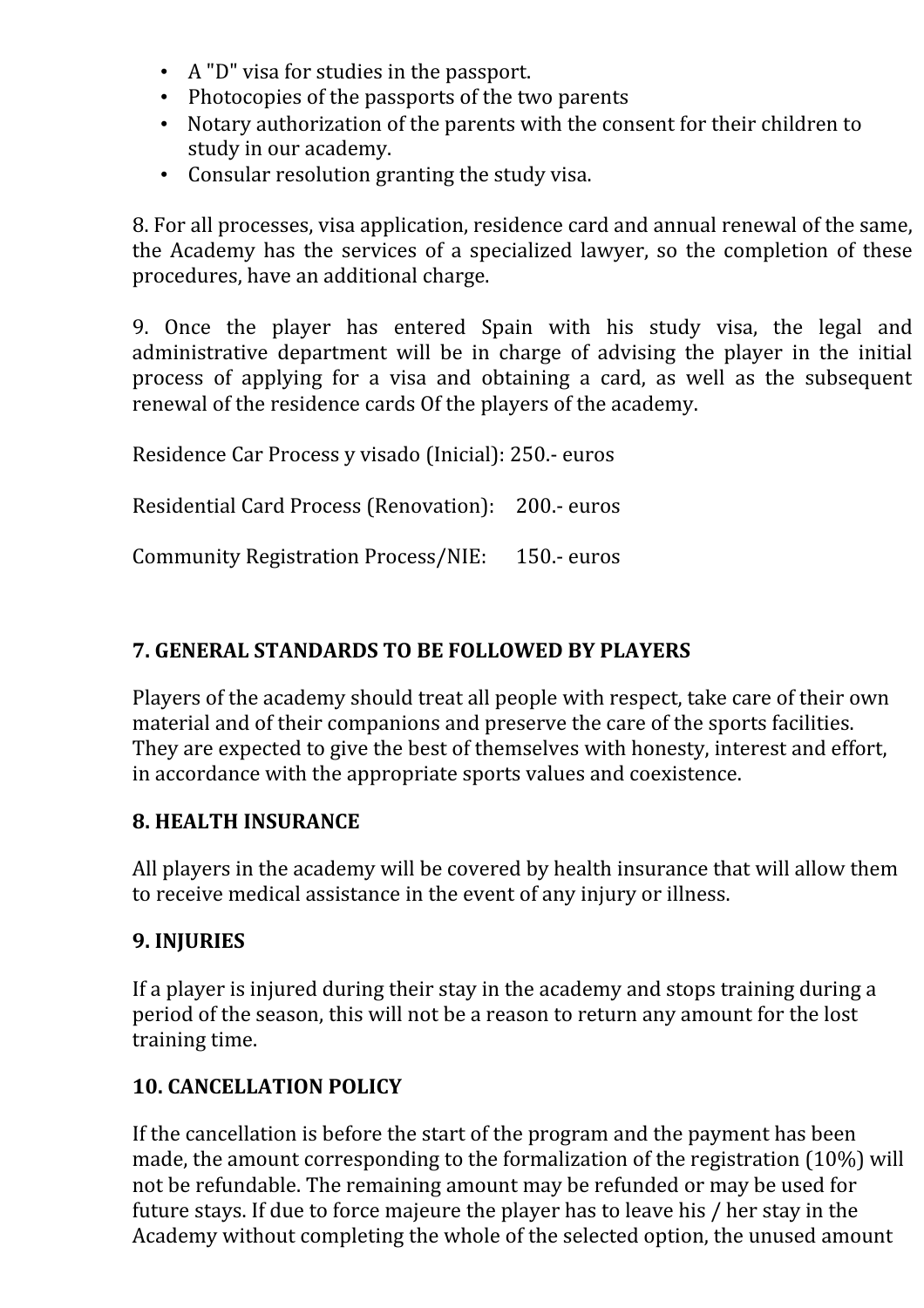- A "D" visa for studies in the passport.
- Photocopies of the passports of the two parents
- Notary authorization of the parents with the consent for their children to study in our academy.
- Consular resolution granting the study visa.

8. For all processes, visa application, residence card and annual renewal of the same, the Academy has the services of a specialized lawyer, so the completion of these procedures, have an additional charge.

9. Once the player has entered Spain with his study visa, the legal and administrative department will be in charge of advising the player in the initial process of applying for a visa and obtaining a card, as well as the subsequent renewal of the residence cards Of the players of the academy.

Residence Car Process y visado (Inicial): 250.- euros

Residential Card Process (Renovation): 200.- euros

Community Registration Process/NIE: 150.- euros

#### **7. GENERAL STANDARDS TO BE FOLLOWED BY PLAYERS**

Players of the academy should treat all people with respect, take care of their own material and of their companions and preserve the care of the sports facilities. They are expected to give the best of themselves with honesty, interest and effort, in accordance with the appropriate sports values and coexistence.

#### **8. HEALTH INSURANCE**

All players in the academy will be covered by health insurance that will allow them to receive medical assistance in the event of any injury or illness.

#### **9. INJURIES**

If a player is injured during their stay in the academy and stops training during a period of the season, this will not be a reason to return any amount for the lost training time.

#### **10. CANCELLATION POLICY**

If the cancellation is before the start of the program and the payment has been made, the amount corresponding to the formalization of the registration (10%) will not be refundable. The remaining amount may be refunded or may be used for future stays. If due to force majeure the player has to leave his / her stay in the Academy without completing the whole of the selected option, the unused amount